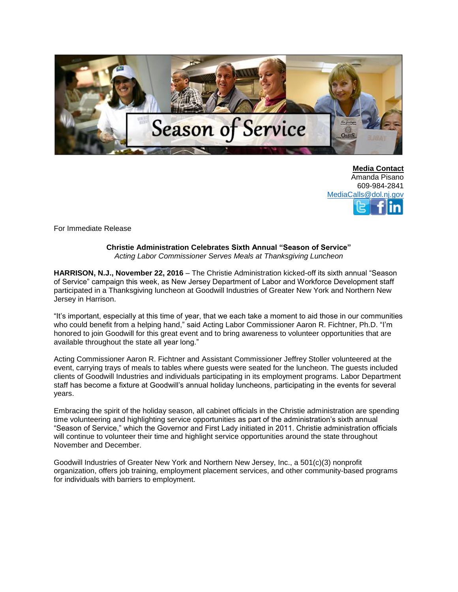

**Media Contact** Amanda Pisano 609-984-2841 [MediaCalls@dol.nj.gov](mailto:MediaCalls@dol.nj.gov)

For Immediate Release

## **Christie Administration Celebrates Sixth Annual "Season of Service"** *Acting Labor Commissioner Serves Meals at Thanksgiving Luncheon*

**HARRISON, N.J., November 22, 2016** – The Christie Administration kicked-off its sixth annual "Season of Service" campaign this week, as New Jersey Department of Labor and Workforce Development staff participated in a Thanksgiving luncheon at Goodwill Industries of Greater New York and Northern New Jersey in Harrison.

"It's important, especially at this time of year, that we each take a moment to aid those in our communities who could benefit from a helping hand," said Acting Labor Commissioner Aaron R. Fichtner, Ph.D. "I'm honored to join Goodwill for this great event and to bring awareness to volunteer opportunities that are available throughout the state all year long."

Acting Commissioner Aaron R. Fichtner and Assistant Commissioner Jeffrey Stoller volunteered at the event, carrying trays of meals to tables where guests were seated for the luncheon. The guests included clients of Goodwill Industries and individuals participating in its employment programs. Labor Department staff has become a fixture at Goodwill's annual holiday luncheons, participating in the events for several years.

Embracing the spirit of the holiday season, all cabinet officials in the Christie administration are spending time volunteering and highlighting service opportunities as part of the administration's sixth annual "Season of Service," which the Governor and First Lady initiated in 2011. Christie administration officials will continue to volunteer their time and highlight service opportunities around the state throughout November and December.

Goodwill Industries of Greater New York and Northern New Jersey, Inc., a 501(c)(3) nonprofit organization, offers job training, employment placement services, and other community-based programs for individuals with barriers to employment.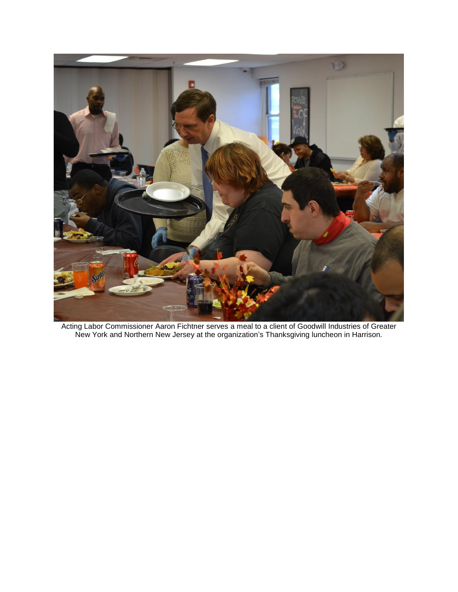

Acting Labor Commissioner Aaron Fichtner serves a meal to a client of Goodwill Industries of Greater New York and Northern New Jersey at the organization's Thanksgiving luncheon in Harrison.